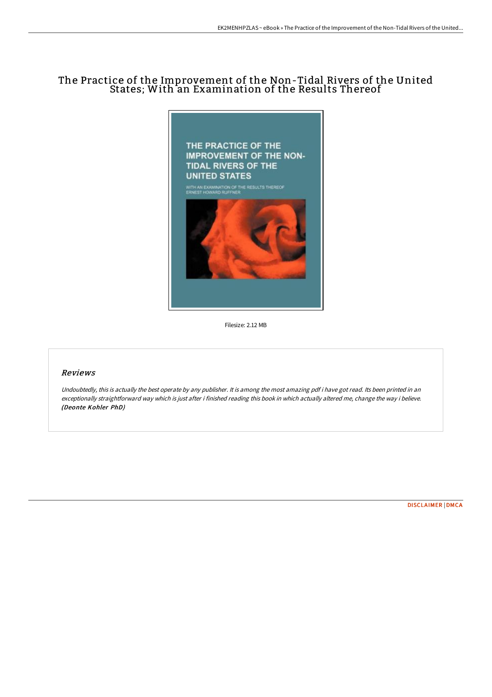# The Practice of the Improvement of the Non-Tidal Rivers of the United States; With an Examination of the Results Thereof



Filesize: 2.12 MB

## Reviews

Undoubtedly, this is actually the best operate by any publisher. It is among the most amazing pdf i have got read. Its been printed in an exceptionally straightforward way which is just after i finished reading this book in which actually altered me, change the way i believe. (Deonte Kohler PhD)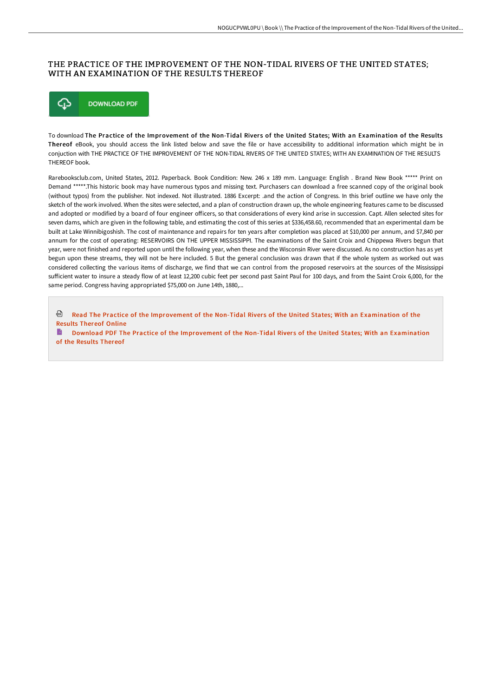### THE PRACTICE OF THE IMPROVEMENT OF THE NON-TIDAL RIVERS OF THE UNITED STATES; WITH AN EXAMINATION OF THE RESULTS THEREOF



To download The Practice of the Improvement of the Non-Tidal Rivers of the United States; With an Examination of the Results Thereof eBook, you should access the link listed below and save the file or have accessibility to additional information which might be in conjuction with THE PRACTICE OF THE IMPROVEMENT OF THE NON-TIDAL RIVERS OF THE UNITED STATES; WITH AN EXAMINATION OF THE RESULTS THEREOF book.

Rarebooksclub.com, United States, 2012. Paperback. Book Condition: New. 246 x 189 mm. Language: English . Brand New Book \*\*\*\*\* Print on Demand \*\*\*\*\*.This historic book may have numerous typos and missing text. Purchasers can download a free scanned copy of the original book (without typos) from the publisher. Not indexed. Not illustrated. 1886 Excerpt: .and the action of Congress. In this brief outline we have only the sketch of the work involved. When the sites were selected, and a plan of construction drawn up, the whole engineering features came to be discussed and adopted or modified by a board of four engineer officers, so that considerations of every kind arise in succession. Capt. Allen selected sites for seven dams, which are given in the following table, and estimating the cost of this series at \$336,458.60, recommended that an experimental dam be built at Lake Winnibigoshish. The cost of maintenance and repairs for ten years after completion was placed at \$10,000 per annum, and \$7,840 per annum for the cost of operating: RESERVOIRS ON THE UPPER MISSISSIPPI. The examinations of the Saint Croix and Chippewa Rivers begun that year, were not finished and reported upon until the following year, when these and the Wisconsin River were discussed. As no construction has as yet begun upon these streams, they will not be here included. 5 But the general conclusion was drawn that if the whole system as worked out was considered collecting the various items of discharge, we find that we can control from the proposed reservoirs at the sources of the Mississippi sufficient water to insure a steady flow of at least 12,200 cubic feet per second past Saint Paul for 100 days, and from the Saint Croix 6,000, for the same period. Congress having appropriated \$75,000 on June 14th, 1880,...

<sup>@</sup> Read The Practice of the [Improvement](http://techno-pub.tech/the-practice-of-the-improvement-of-the-non-tidal.html) of the Non-Tidal Rivers of the United States; With an Examination of the Results Thereof Online

Download PDF The Practice of the [Improvement](http://techno-pub.tech/the-practice-of-the-improvement-of-the-non-tidal.html) of the Non-Tidal Rivers of the United States; With an Examination of the Results Thereof